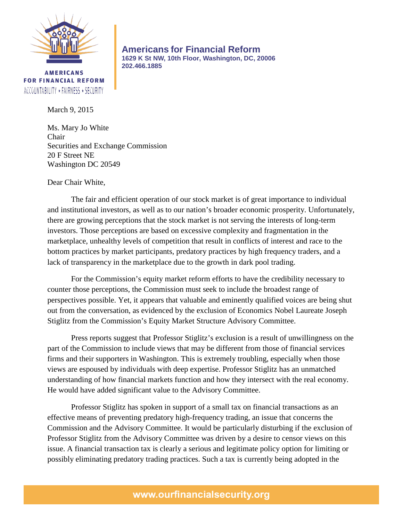

**AMERICANS FOR FINANCIAL REFORM** ACCOUNTABILITY \* FAIRNESS \* SECURITY

March 9, 2015

Ms. Mary Jo White Chair Securities and Exchange Commission 20 F Street NE Washington DC 20549

**202.466.1885**

Dear Chair White,

The fair and efficient operation of our stock market is of great importance to individual and institutional investors, as well as to our nation's broader economic prosperity. Unfortunately, there are growing perceptions that the stock market is not serving the interests of long-term investors. Those perceptions are based on excessive complexity and fragmentation in the marketplace, unhealthy levels of competition that result in conflicts of interest and race to the bottom practices by market participants, predatory practices by high frequency traders, and a lack of transparency in the marketplace due to the growth in dark pool trading.

**Americans for Financial Reform 1629 K St NW, 10th Floor, Washington, DC, 20006**

For the Commission's equity market reform efforts to have the credibility necessary to counter those perceptions, the Commission must seek to include the broadest range of perspectives possible. Yet, it appears that valuable and eminently qualified voices are being shut out from the conversation, as evidenced by the exclusion of Economics Nobel Laureate Joseph Stiglitz from the Commission's Equity Market Structure Advisory Committee.

Press reports suggest that Professor Stiglitz's exclusion is a result of unwillingness on the part of the Commission to include views that may be different from those of financial services firms and their supporters in Washington. This is extremely troubling, especially when those views are espoused by individuals with deep expertise. Professor Stiglitz has an unmatched understanding of how financial markets function and how they intersect with the real economy. He would have added significant value to the Advisory Committee.

Professor Stiglitz has spoken in support of a small tax on financial transactions as an effective means of preventing predatory high-frequency trading, an issue that concerns the Commission and the Advisory Committee. It would be particularly disturbing if the exclusion of Professor Stiglitz from the Advisory Committee was driven by a desire to censor views on this issue. A financial transaction tax is clearly a serious and legitimate policy option for limiting or possibly eliminating predatory trading practices. Such a tax is currently being adopted in the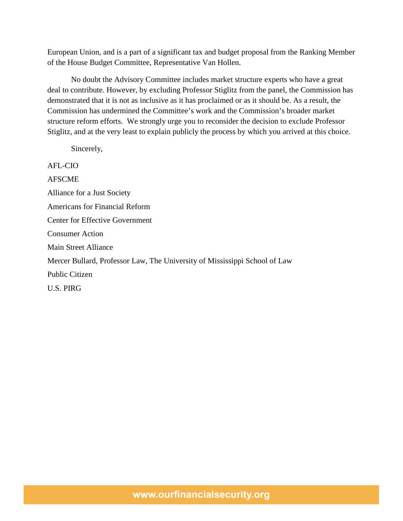European Union, and is a part of a significant tax and budget proposal from the Ranking Member of the House Budget Committee, Representative Van Hollen.

No doubt the Advisory Committee includes market structure experts who have a great deal to contribute. However, by excluding Professor Stiglitz from the panel, the Commission has demonstrated that it is not as inclusive as it has proclaimed or as it should be. As a result, the Commission has undermined the Committee's work and the Commission's broader market structure reform efforts. We strongly urge you to reconsider the decision to exclude Professor Stiglitz, and at the very least to explain publicly the process by which you arrived at this choice.

Sincerely,

AFL-CIO AFSCME Alliance for a Just Society Americans for Financial Reform Center for Effective Government Consumer Action Main Street Alliance Mercer Bullard, Professor Law, The University of Mississippi School of Law Public Citizen U.S. PIRG